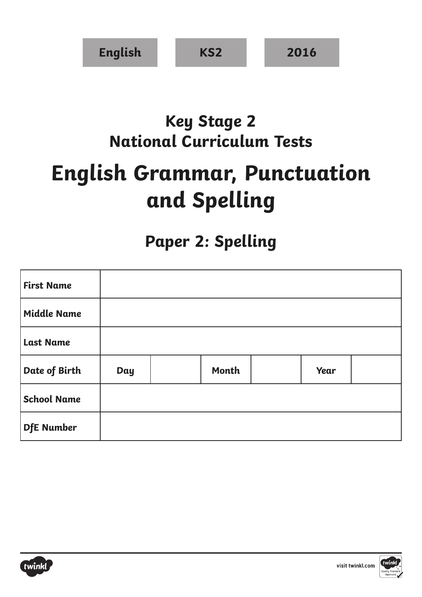| <b>English</b> | KS <sub>2</sub> | 2016 |
|----------------|-----------------|------|
|----------------|-----------------|------|

## **Key Stage 2 National Curriculum Tests**

## **English Grammar, Punctuation and Spelling**

## **Paper 2: Spelling**

| <b>First Name</b>  |            |       |      |  |
|--------------------|------------|-------|------|--|
| <b>Middle Name</b> |            |       |      |  |
| <b>Last Name</b>   |            |       |      |  |
| Date of Birth      | <b>Day</b> | Month | Year |  |
| <b>School Name</b> |            |       |      |  |
| <b>DfE</b> Number  |            |       |      |  |



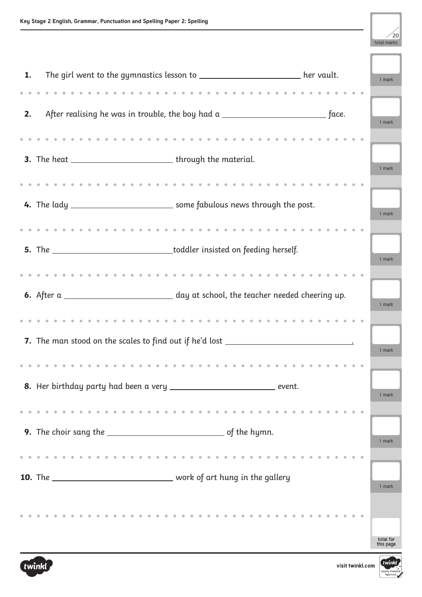

| The girl went to the gymnastics lesson to __________________________ her vault.<br>1.      |  | 1 mark                 |
|--------------------------------------------------------------------------------------------|--|------------------------|
| 2.                                                                                         |  | 1 mark                 |
| 3. The heat _________________________________through the material.                         |  | 1 mark                 |
| 4. The lady _____________________________ some fabulous news through the post.             |  |                        |
|                                                                                            |  | 1 mark                 |
| 5. The _______________________________toddler insisted on feeding herself.                 |  | 1 mark                 |
| 6. After a ________________________________ day at school, the teacher needed cheering up. |  | 1 mark                 |
| 7. The man stood on the scales to find out if he'd lost ________________________           |  | 1 mark                 |
| 8. Her birthday party had been a very _______________________________ event.               |  | 1 mark                 |
| 9. The choir sang the $\_\_$                                                               |  | 1 mark                 |
| <b>10.</b> The __________________________________ work of art hung in the gallery          |  | 1 mark                 |
|                                                                                            |  | total for<br>this page |